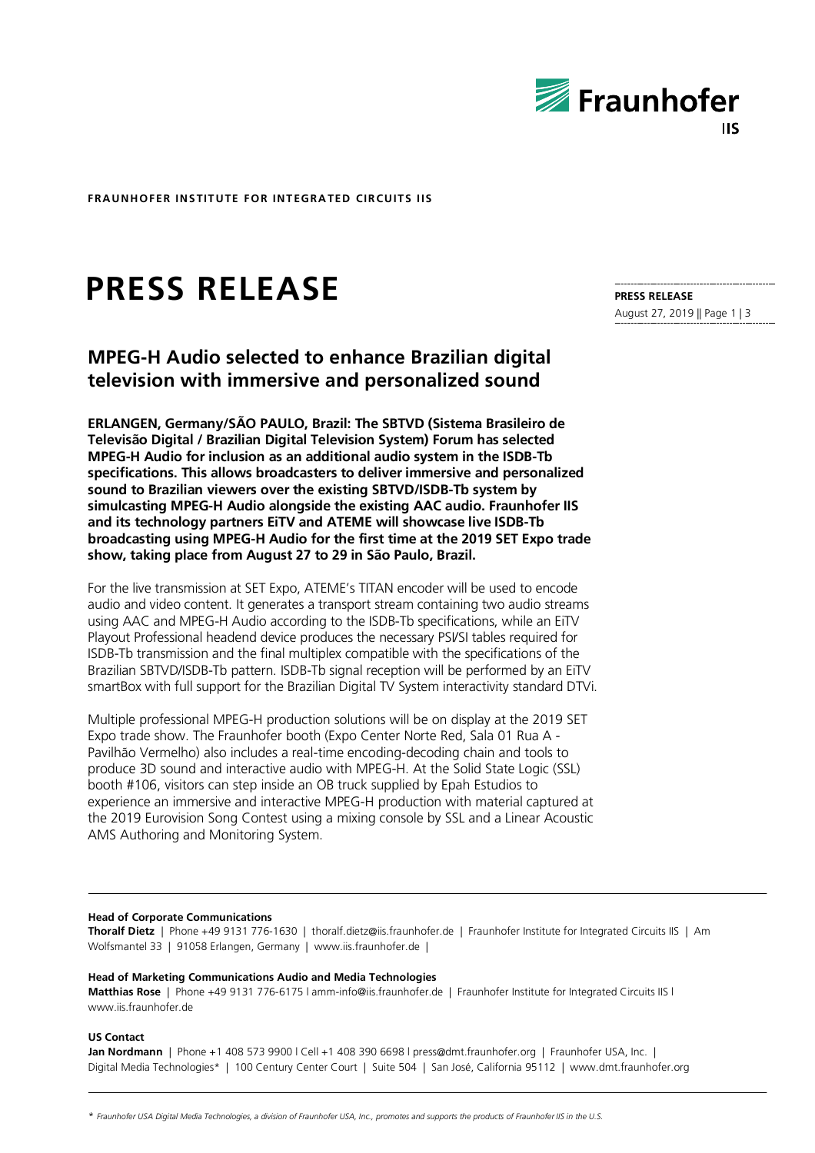

**FRAUNHOFER INSTITUTE FOR INTEGRATED CIRCUITS IIS**

# **PRESS RELEASE**

# **MPEG-H Audio selected to enhance Brazilian digital television with immersive and personalized sound**

**ERLANGEN, Germany/SÃO PAULO, Brazil: The SBTVD (Sistema Brasileiro de Televisão Digital / Brazilian Digital Television System) Forum has selected MPEG-H Audio for inclusion as an additional audio system in the ISDB-Tb specifications. This allows broadcasters to deliver immersive and personalized sound to Brazilian viewers over the existing SBTVD/ISDB-Tb system by simulcasting MPEG-H Audio alongside the existing AAC audio. Fraunhofer IIS and its technology partners EiTV and ATEME will showcase live ISDB-Tb broadcasting using MPEG-H Audio for the first time at the 2019 SET Expo trade show, taking place from August 27 to 29 in São Paulo, Brazil.**

For the live transmission at SET Expo, ATEME's TITAN encoder will be used to encode audio and video content. It generates a transport stream containing two audio streams using AAC and MPEG-H Audio according to the ISDB-Tb specifications, while an EiTV Playout Professional headend device produces the necessary PSI/SI tables required for ISDB-Tb transmission and the final multiplex compatible with the specifications of the Brazilian SBTVD/ISDB-Tb pattern. ISDB-Tb signal reception will be performed by an EiTV smartBox with full support for the Brazilian Digital TV System interactivity standard DTVi.

Multiple professional MPEG-H production solutions will be on display at the 2019 SET Expo trade show. The Fraunhofer booth (Expo Center Norte Red, Sala 01 Rua A - Pavilhão Vermelho) also includes a real-time encoding-decoding chain and tools to produce 3D sound and interactive audio with MPEG-H. At the Solid State Logic (SSL) booth #106, visitors can step inside an OB truck supplied by Epah Estudios to experience an immersive and interactive MPEG-H production with material captured at the 2019 Eurovision Song Contest using a mixing console by SSL and a Linear Acoustic AMS Authoring and Monitoring System.

# **PRESS RELEASE**

August 27, 2019 || Page 1 | 3

#### **Head of Corporate Communications**

**Thoralf Dietz** | Phone +49 9131 776-1630 | thoralf.dietz@iis.fraunhofer.de | Fraunhofer Institute for Integrated Circuits IIS | Am Wolfsmantel 33 | 91058 Erlangen, Germany | www.iis.fraunhofer.de |

#### **Head of Marketing Communications Audio and Media Technologies**

**Matthias Rose** | Phone +49 9131 776-6175 l amm-info@iis.fraunhofer.de | Fraunhofer Institute for Integrated Circuits IIS l www.iis.fraunhofer.de

**US Contact**

**Jan Nordmann** | Phone +1 408 573 9900 l Cell +1 408 390 6698 l press@dmt.fraunhofer.org | Fraunhofer USA, Inc. | Digital Media Technologies\* | 100 Century Center Court | Suite 504 | San José, California 95112 | www.dmt.fraunhofer.org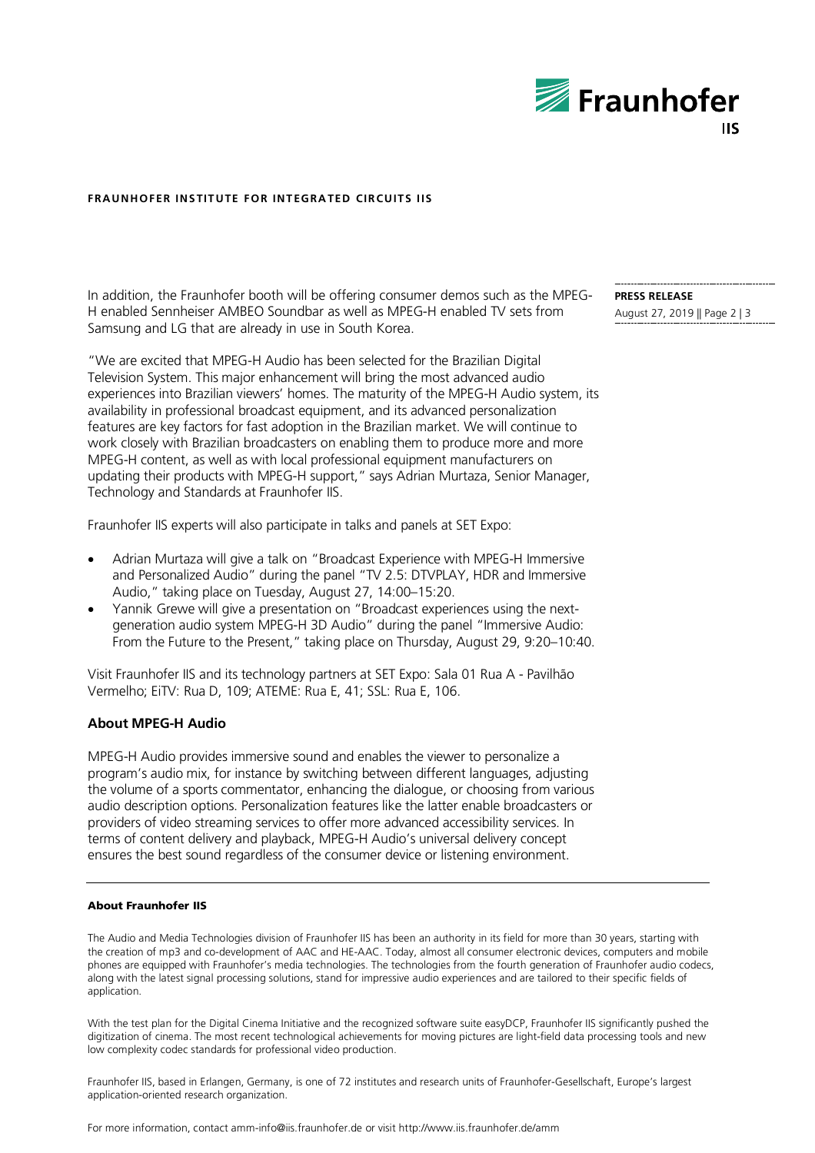

## **FRAUNHOFER INSTITUTE FOR INTEGRATED CIRCUITS IIS**

In addition, the Fraunhofer booth will be offering consumer demos such as the MPEG-H enabled Sennheiser AMBEO Soundbar as well as MPEG-H enabled TV sets from Samsung and LG that are already in use in South Korea.

"We are excited that MPEG-H Audio has been selected for the Brazilian Digital Television System. This major enhancement will bring the most advanced audio experiences into Brazilian viewers' homes. The maturity of the MPEG-H Audio system, its availability in professional broadcast equipment, and its advanced personalization features are key factors for fast adoption in the Brazilian market. We will continue to work closely with Brazilian broadcasters on enabling them to produce more and more MPEG-H content, as well as with local professional equipment manufacturers on updating their products with MPEG-H support," says Adrian Murtaza, Senior Manager, Technology and Standards at Fraunhofer IIS.

Fraunhofer IIS experts will also participate in talks and panels at SET Expo:

- Adrian Murtaza will give a talk on "Broadcast Experience with MPEG-H Immersive and Personalized Audio" during the panel "TV 2.5: DTVPLAY, HDR and Immersive Audio," taking place on Tuesday, August 27, 14:00–15:20.
- Yannik Grewe will give a presentation on "Broadcast experiences using the nextgeneration audio system MPEG-H 3D Audio" during the panel "Immersive Audio: From the Future to the Present," taking place on Thursday, August 29, 9:20–10:40.

Visit Fraunhofer IIS and its technology partners at SET Expo: Sala 01 Rua A - Pavilhão Vermelho; EiTV: Rua D, 109; ATEME: Rua E, 41; SSL: Rua E, 106.

### **About MPEG-H Audio**

MPEG-H Audio provides immersive sound and enables the viewer to personalize a program's audio mix, for instance by switching between different languages, adjusting the volume of a sports commentator, enhancing the dialogue, or choosing from various audio description options. Personalization features like the latter enable broadcasters or providers of video streaming services to offer more advanced accessibility services. In terms of content delivery and playback, MPEG-H Audio's universal delivery concept ensures the best sound regardless of the consumer device or listening environment.

#### About Fraunhofer IIS

The Audio and Media Technologies division of Fraunhofer IIS has been an authority in its field for more than 30 years, starting with the creation of mp3 and co-development of AAC and HE-AAC. Today, almost all consumer electronic devices, computers and mobile phones are equipped with Fraunhofer's media technologies. The technologies from the fourth generation of Fraunhofer audio codecs, along with the latest signal processing solutions, stand for impressive audio experiences and are tailored to their specific fields of application.

With the test plan for the Digital Cinema Initiative and the recognized software suite easyDCP, Fraunhofer IIS significantly pushed the digitization of cinema. The most recent technological achievements for moving pictures are light-field data processing tools and new low complexity codec standards for professional video production.

Fraunhofer IIS, based in Erlangen, Germany, is one of 72 institutes and research units of Fraunhofer-Gesellschaft, Europe's largest application-oriented research organization.

**PRESS RELEASE** August 27, 2019 || Page 2 | 3